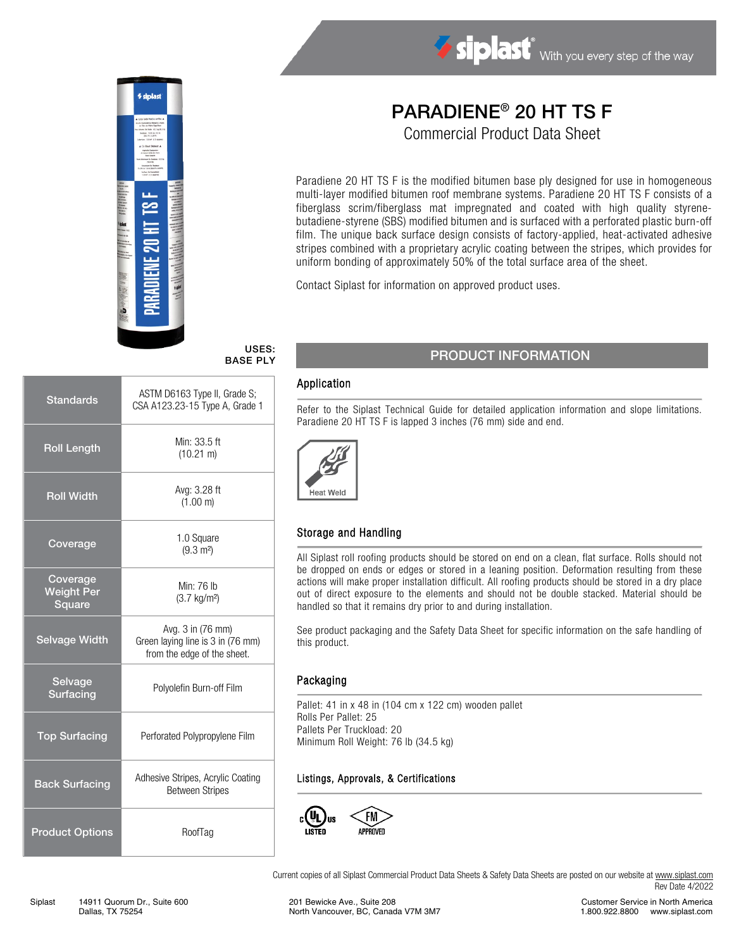

## Siplast With you every step of the way

# PARADIENE® 20 HT TS F

Commercial Product Data Sheet

Paradiene 20 HT TS F is the modified bitumen base ply designed for use in homogeneous multi-layer modified bitumen roof membrane systems. Paradiene 20 HT TS F consists of a fiberglass scrim/fiberglass mat impregnated and coated with high quality styrenebutadiene-styrene (SBS) modified bitumen and is surfaced with a perforated plastic burn-off film. The unique back surface design consists of factory-applied, heat-activated adhesive stripes combined with a proprietary acrylic coating between the stripes, which provides for uniform bonding of approximately 50% of the total surface area of the sheet.

Contact Siplast for information on approved product uses.

USES: BASE PLY

| <b>Standards</b>                               | ASTM D6163 Type II, Grade S;<br>CSA A123.23-15 Type A, Grade 1                        |  |
|------------------------------------------------|---------------------------------------------------------------------------------------|--|
| <b>Roll Length</b>                             | Min: 33.5 ft<br>$(10.21 \text{ m})$                                                   |  |
| <b>Roll Width</b>                              | Avg: 3.28 ft<br>(1.00 m)                                                              |  |
| Coverage                                       | 1.0 Square<br>$(9.3 \text{ m}^2)$                                                     |  |
| Coverage<br><b>Weight Per</b><br><b>Square</b> | Min: 76 lb<br>$(3.7 \text{ kg/m}^2)$                                                  |  |
| <b>Selvage Width</b>                           | Avg. 3 in (76 mm)<br>Green laying line is 3 in (76 mm)<br>from the edge of the sheet. |  |
| <b>Selvage</b><br><b>Surfacing</b>             | Polyolefin Burn-off Film                                                              |  |
| <b>Top Surfacing</b>                           | Perforated Polypropylene Film                                                         |  |
| <b>Back Surfacing</b>                          | Adhesive Stripes, Acrylic Coating<br><b>Between Stripes</b>                           |  |
| <b>Product Options</b>                         | RoofTag                                                                               |  |

## PRODUCT INFORMATION

#### Application

Refer to the Siplast Technical Guide for detailed application information and slope limitations. Paradiene 20 HT TS F is lapped 3 inches (76 mm) side and end.



### Storage and Handling

All Siplast roll roofing products should be stored on end on a clean, flat surface. Rolls should not be dropped on ends or edges or stored in a leaning position. Deformation resulting from these actions will make proper installation difficult. All roofing products should be stored in a dry place out of direct exposure to the elements and should not be double stacked. Material should be handled so that it remains dry prior to and during installation.

See product packaging and the Safety Data Sheet for specific information on the safe handling of this product.

#### Packaging

Pallet: 41 in x 48 in (104 cm x 122 cm) wooden pallet Rolls Per Pallet: 25 Pallets Per Truckload: 20 Minimum Roll Weight: 76 lb (34.5 kg)

#### Listings, Approvals, & Certifications



Current copies of all Siplast Commercial Product Data Sheets & Safety Data Sheets are posted on our website at [www.siplast.com](http://www.siplast.com/) Rev Date 4/2022